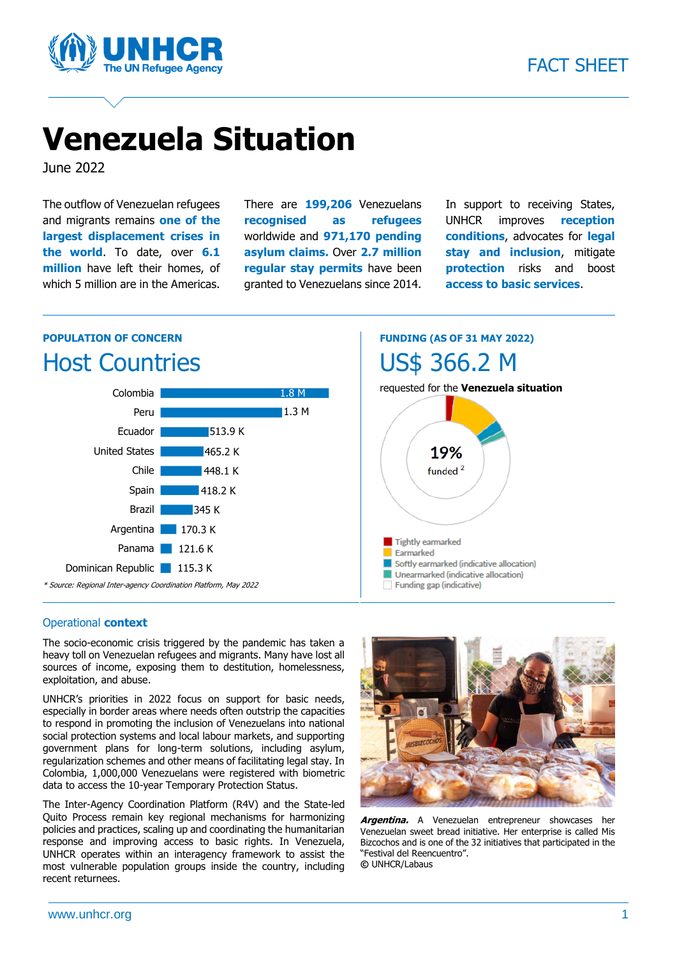

# **Venezuela Situation**

June 2022

The outflow of Venezuelan refugees and migrants remains **one of the largest displacement crises in the world**. To date, over **6.1 million** have left their homes, of which 5 million are in the Americas. There are **199,206** Venezuelans **recognised as refugees**  worldwide and **971,170 pending asylum claims.** Over **2.7 million regular stay permits** have been granted to Venezuelans since 2014. In support to receiving States, UNHCR improves **reception conditions**, advocates for **legal stay and inclusion**, mitigate **protection** risks and boost **access to basic services**.

#### **POPULATION OF CONCERN** Host Countries



**FUNDING (AS OF 31 MAY 2022)** US\$ 366.2 M



#### Operational **context**

The socio-economic crisis triggered by the pandemic has taken a heavy toll on Venezuelan refugees and migrants. Many have lost all sources of income, exposing them to destitution, homelessness, exploitation, and abuse.

UNHCR's priorities in 2022 focus on support for basic needs, especially in border areas where needs often outstrip the capacities to respond in promoting the inclusion of Venezuelans into national social protection systems and local labour markets, and supporting government plans for long-term solutions, including asylum, regularization schemes and other means of facilitating legal stay. In Colombia, 1,000,000 Venezuelans were registered with biometric data to access the 10-year Temporary Protection Status.

The Inter-Agency Coordination Platform (R4V) and the State-led Quito Process remain key regional mechanisms for harmonizing policies and practices, scaling up and coordinating the humanitarian response and improving access to basic rights. In Venezuela, UNHCR operates within an interagency framework to assist the most vulnerable population groups inside the country, including recent returnees.



**Argentina.** A Venezuelan entrepreneur showcases her Venezuelan sweet bread initiative. Her enterprise is called Mis Bizcochos and is one of the 32 initiatives that participated in the "Festival del Reencuentro". **©** UNHCR/Labaus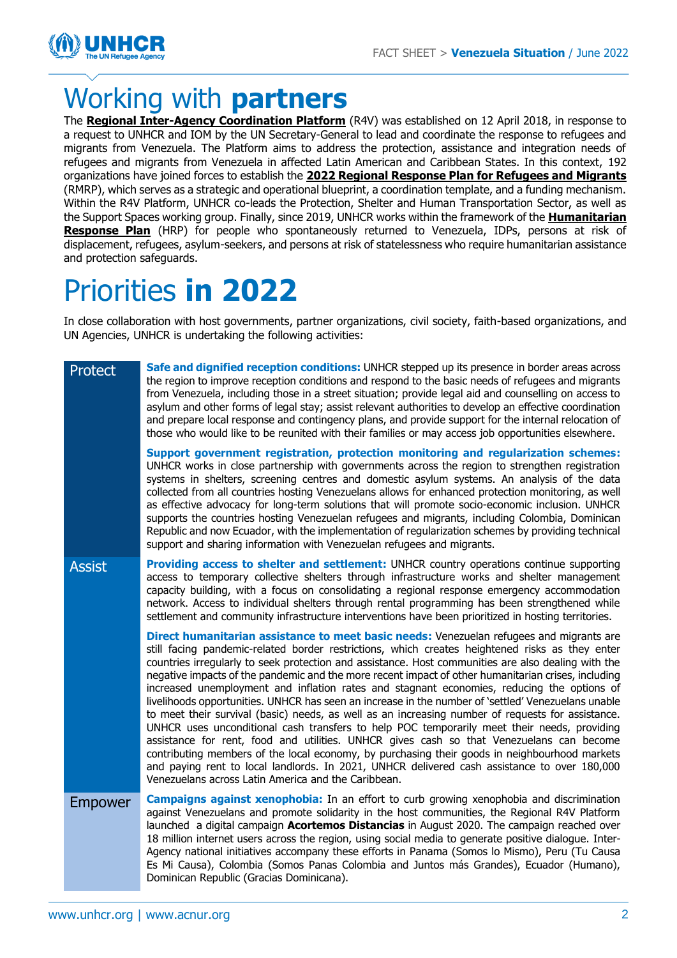

### Working with **partners**

The **[Regional Inter-Agency Coordination Platform](https://www.r4v.info/)** (R4V) was established on 12 April 2018, in response to a request to UNHCR and IOM by the UN Secretary-General to lead and coordinate the response to refugees and migrants from Venezuela. The Platform aims to address the protection, assistance and integration needs of refugees and migrants from Venezuela in affected Latin American and Caribbean States. In this context, 192 organizations have joined forces to establish the **2022 [Regional Response Plan for Refugees and Migrants](https://www.r4v.info/en/document/rmrp-2022)** (RMRP), which serves as a strategic and operational blueprint, a coordination template, and a funding mechanism. Within the R4V Platform, UNHCR co-leads the Protection, Shelter and Human Transportation Sector, as well as the Support Spaces working group. Finally, since 2019, UNHCR works within the framework of the **[Humanitarian](https://hum-insight.info/plan/1097)  [Response Plan](https://hum-insight.info/plan/1097)** (HRP) for people who spontaneously returned to Venezuela, IDPs, persons at risk of displacement, refugees, asylum-seekers, and persons at risk of statelessness who require humanitarian assistance and protection safeguards.

# Priorities **in 2022**

In close collaboration with host governments, partner organizations, civil society, faith-based organizations, and UN Agencies, UNHCR is undertaking the following activities:

Protect **Safe and dignified reception conditions:** UNHCR stepped up its presence in border areas across the region to improve reception conditions and respond to the basic needs of refugees and migrants from Venezuela, including those in a street situation; provide legal aid and counselling on access to asylum and other forms of legal stay; assist relevant authorities to develop an effective coordination and prepare local response and contingency plans, and provide support for the internal relocation of those who would like to be reunited with their families or may access job opportunities elsewhere. **Support government registration, protection monitoring and regularization schemes:**  UNHCR works in close partnership with governments across the region to strengthen registration systems in shelters, screening centres and domestic asylum systems. An analysis of the data collected from all countries hosting Venezuelans allows for enhanced protection monitoring, as well as effective advocacy for long-term solutions that will promote socio-economic inclusion. UNHCR supports the countries hosting Venezuelan refugees and migrants, including Colombia, Dominican Republic and now Ecuador, with the implementation of regularization schemes by providing technical support and sharing information with Venezuelan refugees and migrants. Assist **Providing access to shelter and settlement:** UNHCR country operations continue supporting access to temporary collective shelters through infrastructure works and shelter management capacity building, with a focus on consolidating a regional response emergency accommodation network. Access to individual shelters through rental programming has been strengthened while settlement and community infrastructure interventions have been prioritized in hosting territories. **Direct humanitarian assistance to meet basic needs:** Venezuelan refugees and migrants are still facing pandemic-related border restrictions, which creates heightened risks as they enter countries irregularly to seek protection and assistance. Host communities are also dealing with the negative impacts of the pandemic and the more recent impact of other humanitarian crises, including increased unemployment and inflation rates and stagnant economies, reducing the options of livelihoods opportunities. UNHCR has seen an increase in the number of 'settled' Venezuelans unable to meet their survival (basic) needs, as well as an increasing number of requests for assistance. UNHCR uses unconditional cash transfers to help POC temporarily meet their needs, providing assistance for rent, food and utilities. UNHCR gives cash so that Venezuelans can become contributing members of the local economy, by purchasing their goods in neighbourhood markets and paying rent to local landlords. In 2021, UNHCR delivered cash assistance to over 180,000 Venezuelans across Latin America and the Caribbean. Empower **Campaigns against xenophobia:** In an effort to curb growing xenophobia and discrimination against Venezuelans and promote solidarity in the host communities, the Regional R4V Platform launched a digital campaign **[Acortemos Distancias](https://eur02.safelinks.protection.outlook.com/?url=https%3A%2F%2Facortemosdistancias.org%2F&data=04%7C01%7CSARRADO%40unhcr.org%7Ce0c4aef46e9e402a52c808d8b984c462%7Ce5c37981666441348a0c6543d2af80be%7C0%7C0%7C637463328191281438%7CUnknown%7CTWFpbGZsb3d8eyJWIjoiMC4wLjAwMDAiLCJQIjoiV2luMzIiLCJBTiI6Ik1haWwiLCJXVCI6Mn0%3D%7C1000&sdata=iaqGKuC9Xc9NOcjagZpgRScqGG6uj6zsaFovXZAbQeA%3D&reserved=0)** in August 2020. The campaign reached over 18 million internet users across the region, using social media to generate positive dialogue. Inter-Agency national initiatives accompany these efforts in Panama [\(Somos lo Mismo\)](https://eur02.safelinks.protection.outlook.com/?url=http%3A%2F%2Fsomoslomismo.com%2F&data=04%7C01%7CSARRADO%40unhcr.org%7Ce0c4aef46e9e402a52c808d8b984c462%7Ce5c37981666441348a0c6543d2af80be%7C0%7C0%7C637463328191261452%7CUnknown%7CTWFpbGZsb3d8eyJWIjoiMC4wLjAwMDAiLCJQIjoiV2luMzIiLCJBTiI6Ik1haWwiLCJXVCI6Mn0%3D%7C1000&sdata=FkbKH%2FeiM6LxqwlAGEQ49dTV1DonbZj%2F2gDSiHkCcuo%3D&reserved=0), Peru [\(Tu Causa](https://eur02.safelinks.protection.outlook.com/?url=https%3A%2F%2Ftucausaesmicausa.pe%2F&data=04%7C01%7CSARRADO%40unhcr.org%7Ce0c4aef46e9e402a52c808d8b984c462%7Ce5c37981666441348a0c6543d2af80be%7C0%7C0%7C637463328191271442%7CUnknown%7CTWFpbGZsb3d8eyJWIjoiMC4wLjAwMDAiLCJQIjoiV2luMzIiLCJBTiI6Ik1haWwiLCJXVCI6Mn0%3D%7C1000&sdata=lqNiqCUjUKbtFVILR0nG86yMTXExbf1A5z8Q%2F%2BmhweQ%3D&reserved=0)  [Es Mi Causa\)](https://eur02.safelinks.protection.outlook.com/?url=https%3A%2F%2Ftucausaesmicausa.pe%2F&data=04%7C01%7CSARRADO%40unhcr.org%7Ce0c4aef46e9e402a52c808d8b984c462%7Ce5c37981666441348a0c6543d2af80be%7C0%7C0%7C637463328191271442%7CUnknown%7CTWFpbGZsb3d8eyJWIjoiMC4wLjAwMDAiLCJQIjoiV2luMzIiLCJBTiI6Ik1haWwiLCJXVCI6Mn0%3D%7C1000&sdata=lqNiqCUjUKbtFVILR0nG86yMTXExbf1A5z8Q%2F%2BmhweQ%3D&reserved=0), Colombia [\(Somos Panas Colombia](https://eur02.safelinks.protection.outlook.com/?url=https%3A%2F%2Fsomospanascolombia.com%2F&data=04%7C01%7CSARRADO%40unhcr.org%7Ce0c4aef46e9e402a52c808d8b984c462%7Ce5c37981666441348a0c6543d2af80be%7C0%7C0%7C637463328191271442%7CUnknown%7CTWFpbGZsb3d8eyJWIjoiMC4wLjAwMDAiLCJQIjoiV2luMzIiLCJBTiI6Ik1haWwiLCJXVCI6Mn0%3D%7C1000&sdata=COikq6SeN4Rbh%2FC%2BDZmAMxN5cswD%2FbIomm26CVjfbhk%3D&reserved=0) and Juntos más Grandes), Ecuador (Humano), Dominican Republic (Gracias Dominicana).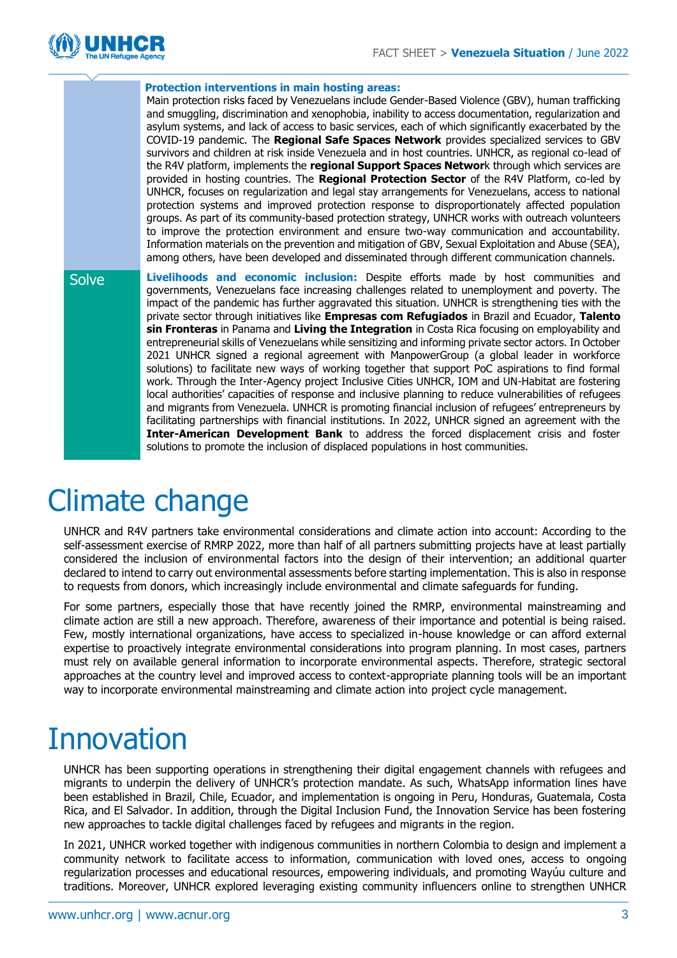

|              | <b>Protection interventions in main hosting areas:</b>                                                                                                                                                                                                                                                                                                                                                                                                                                                                                                                                                                                                                                                                                                                                                                                                                                                   |
|--------------|----------------------------------------------------------------------------------------------------------------------------------------------------------------------------------------------------------------------------------------------------------------------------------------------------------------------------------------------------------------------------------------------------------------------------------------------------------------------------------------------------------------------------------------------------------------------------------------------------------------------------------------------------------------------------------------------------------------------------------------------------------------------------------------------------------------------------------------------------------------------------------------------------------|
|              | Main protection risks faced by Venezuelans include Gender-Based Violence (GBV), human trafficking<br>and smuggling, discrimination and xenophobia, inability to access documentation, regularization and<br>asylum systems, and lack of access to basic services, each of which significantly exacerbated by the                                                                                                                                                                                                                                                                                                                                                                                                                                                                                                                                                                                         |
|              | COVID-19 pandemic. The Regional Safe Spaces Network provides specialized services to GBV                                                                                                                                                                                                                                                                                                                                                                                                                                                                                                                                                                                                                                                                                                                                                                                                                 |
|              | survivors and children at risk inside Venezuela and in host countries. UNHCR, as regional co-lead of<br>the R4V platform, implements the regional Support Spaces Network through which services are                                                                                                                                                                                                                                                                                                                                                                                                                                                                                                                                                                                                                                                                                                      |
|              | provided in hosting countries. The Regional Protection Sector of the R4V Platform, co-led by                                                                                                                                                                                                                                                                                                                                                                                                                                                                                                                                                                                                                                                                                                                                                                                                             |
|              | UNHCR, focuses on regularization and legal stay arrangements for Venezuelans, access to national                                                                                                                                                                                                                                                                                                                                                                                                                                                                                                                                                                                                                                                                                                                                                                                                         |
|              | protection systems and improved protection response to disproportionately affected population<br>groups. As part of its community-based protection strategy, UNHCR works with outreach volunteers                                                                                                                                                                                                                                                                                                                                                                                                                                                                                                                                                                                                                                                                                                        |
|              | to improve the protection environment and ensure two-way communication and accountability.                                                                                                                                                                                                                                                                                                                                                                                                                                                                                                                                                                                                                                                                                                                                                                                                               |
|              | Information materials on the prevention and mitigation of GBV, Sexual Exploitation and Abuse (SEA),<br>among others, have been developed and disseminated through different communication channels.                                                                                                                                                                                                                                                                                                                                                                                                                                                                                                                                                                                                                                                                                                      |
|              |                                                                                                                                                                                                                                                                                                                                                                                                                                                                                                                                                                                                                                                                                                                                                                                                                                                                                                          |
| <b>Solve</b> | Livelihoods and economic inclusion: Despite efforts made by host communities and<br>governments, Venezuelans face increasing challenges related to unemployment and poverty. The<br>impact of the pandemic has further aggravated this situation. UNHCR is strengthening ties with the<br>private sector through initiatives like Empresas com Refugiados in Brazil and Ecuador, Talento<br>sin Fronteras in Panama and Living the Integration in Costa Rica focusing on employability and<br>entrepreneurial skills of Venezuelans while sensitizing and informing private sector actors. In October<br>2021 UNHCR signed a regional agreement with ManpowerGroup (a global leader in workforce<br>solutions) to facilitate new ways of working together that support PoC aspirations to find formal<br>work. Through the Inter-Agency project Inclusive Cities UNHCR, IOM and UN-Habitat are fostering |
|              | local authorities' capacities of response and inclusive planning to reduce vulnerabilities of refugees                                                                                                                                                                                                                                                                                                                                                                                                                                                                                                                                                                                                                                                                                                                                                                                                   |
|              |                                                                                                                                                                                                                                                                                                                                                                                                                                                                                                                                                                                                                                                                                                                                                                                                                                                                                                          |
|              | and migrants from Venezuela. UNHCR is promoting financial inclusion of refugees' entrepreneurs by                                                                                                                                                                                                                                                                                                                                                                                                                                                                                                                                                                                                                                                                                                                                                                                                        |
|              | facilitating partnerships with financial institutions. In 2022, UNHCR signed an agreement with the<br>Inter-American Development Bank to address the forced displacement crisis and foster                                                                                                                                                                                                                                                                                                                                                                                                                                                                                                                                                                                                                                                                                                               |

#### Climate change

UNHCR and R4V partners take environmental considerations and climate action into account: According to the self-assessment exercise of RMRP 2022, more than half of all partners submitting projects have at least partially considered the inclusion of environmental factors into the design of their intervention; an additional quarter declared to intend to carry out environmental assessments before starting implementation. This is also in response to requests from donors, which increasingly include environmental and climate safeguards for funding.

For some partners, especially those that have recently joined the RMRP, environmental mainstreaming and climate action are still a new approach. Therefore, awareness of their importance and potential is being raised. Few, mostly international organizations, have access to specialized in-house knowledge or can afford external expertise to proactively integrate environmental considerations into program planning. In most cases, partners must rely on available general information to incorporate environmental aspects. Therefore, strategic sectoral approaches at the country level and improved access to context-appropriate planning tools will be an important way to incorporate environmental mainstreaming and climate action into project cycle management.

## **Innovation**

UNHCR has been supporting operations in strengthening their digital engagement channels with refugees and migrants to underpin the delivery of UNHCR's protection mandate. As such, WhatsApp information lines have been established in Brazil, Chile, Ecuador, and implementation is ongoing in Peru, Honduras, Guatemala, Costa Rica, and El Salvador. In addition, through the Digital Inclusion Fund, the Innovation Service has been fostering new approaches to tackle digital challenges faced by refugees and migrants in the region.

In 2021, UNHCR worked together with indigenous communities in northern Colombia to design and implement a community network to facilitate access to information, communication with loved ones, access to ongoing regularization processes and educational resources, empowering individuals, and promoting Wayúu culture and traditions. Moreover, UNHCR explored leveraging existing community influencers online to strengthen UNHCR